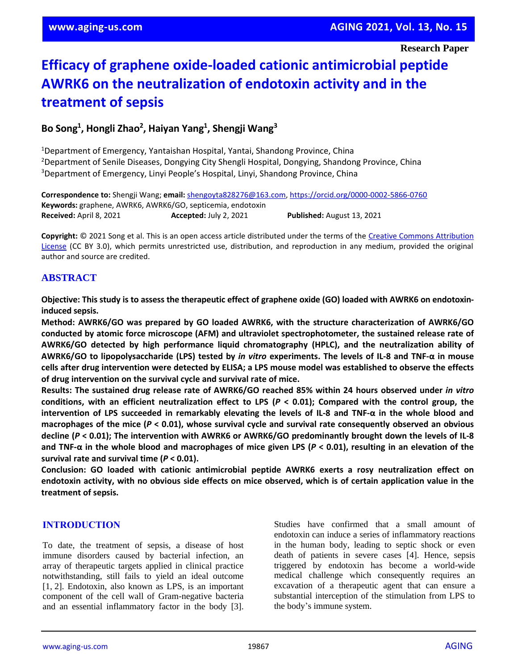# **Efficacy of graphene oxide-loaded cationic antimicrobial peptide AWRK6 on the neutralization of endotoxin activity and in the treatment of sepsis**

# **Bo Song<sup>1</sup> , Hongli Zhao<sup>2</sup> , Haiyan Yang<sup>1</sup> , Shengji Wang<sup>3</sup>**

<sup>1</sup>Department of Emergency, Yantaishan Hospital, Yantai, Shandong Province, China <sup>2</sup>Department of Senile Diseases, Dongying City Shengli Hospital, Dongying, Shandong Province, China <sup>3</sup>Department of Emergency, Linyi People's Hospital, Linyi, Shandong Province, China

**Correspondence to:** Shengji Wang; **email:** [shengoyta828276@163.com,](mailto:shengoyta828276@163.com)<https://orcid.org/0000-0002-5866-0760> **Keywords:** graphene, AWRK6, AWRK6/GO, septicemia, endotoxin **Received:** April 8, 2021 **Accepted:** July 2, 2021 **Published:** August 13, 2021

**Copyright:** © 2021 Song et al. This is an open access article distributed under the terms of the [Creative Commons Attribution](https://creativecommons.org/licenses/by/3.0/)  [License](https://creativecommons.org/licenses/by/3.0/) (CC BY 3.0), which permits unrestricted use, distribution, and reproduction in any medium, provided the original author and source are credited.

## **ABSTRACT**

Objective: This study is to assess the therapeutic effect of graphene oxide (GO) loaded with AWRK6 on endotoxin**induced sepsis.**

**Method: AWRK6/GO was prepared by GO loaded AWRK6, with the structure characterization of AWRK6/GO conducted by atomic force microscope (AFM) and ultraviolet spectrophotometer, the sustained release rate of AWRK6/GO detected by high performance liquid chromatography (HPLC), and the neutralization ability of** AWRK6/GO to lipopolysaccharide (LPS) tested by in vitro experiments. The levels of IL-8 and TNF- $\alpha$  in mouse cells after drug intervention were detected by ELISA; a LPS mouse model was established to observe the effects **of drug intervention on the survival cycle and survival rate of mice.**

**Results: The sustained drug release rate of AWRK6/GO reached 85% within 24 hours observed under** *in vitro* conditions, with an efficient neutralization effect to LPS ( $P < 0.01$ ); Compared with the control group, the intervention of LPS succeeded in remarkably elevating the levels of IL-8 and TNF- $\alpha$  in the whole blood and macrophages of the mice ( $P < 0.01$ ), whose survival cycle and survival rate consequently observed an obvious decline ( $P < 0.01$ ); The intervention with AWRK6 or AWRK6/GO predominantly brought down the levels of IL-8 and TNF- $\alpha$  in the whole blood and macrophages of mice given LPS ( $P < 0.01$ ), resulting in an elevation of the **survival rate and survival time (***P* **< 0.01).**

**Conclusion: GO loaded with cationic antimicrobial peptide AWRK6 exerts a rosy neutralization effect on** endotoxin activity, with no obvious side effects on mice observed, which is of certain application value in the **treatment of sepsis.**

## **INTRODUCTION**

To date, the treatment of sepsis, a disease of host immune disorders caused by bacterial infection, an array of therapeutic targets applied in clinical practice notwithstanding, still fails to yield an ideal outcome [1, 2]. Endotoxin, also known as LPS, is an important component of the cell wall of Gram-negative bacteria and an essential inflammatory factor in the body [3].

Studies have confirmed that a small amount of endotoxin can induce a series of inflammatory reactions in the human body, leading to septic shock or even death of patients in severe cases [4]. Hence, sepsis triggered by endotoxin has become a world-wide medical challenge which consequently requires an excavation of a therapeutic agent that can ensure a substantial interception of the stimulation from LPS to the body's immune system.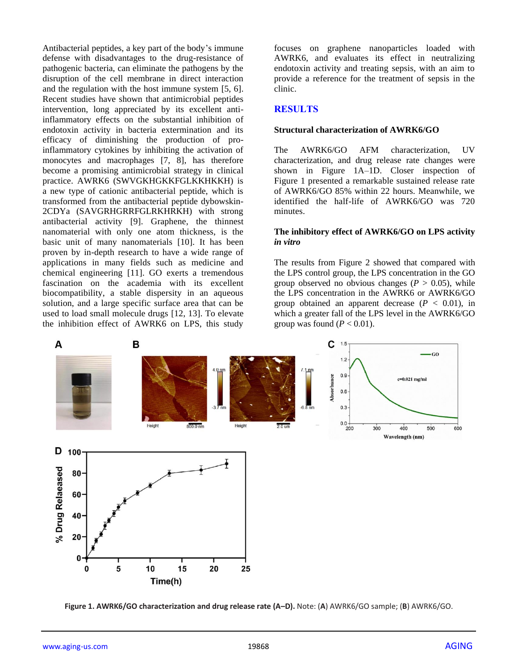Antibacterial peptides, a key part of the body's immune defense with disadvantages to the drug-resistance of pathogenic bacteria, can eliminate the pathogens by the disruption of the cell membrane in direct interaction and the regulation with the host immune system [5, 6]. Recent studies have shown that antimicrobial peptides intervention, long appreciated by its excellent antiinflammatory effects on the substantial inhibition of endotoxin activity in bacteria extermination and its efficacy of diminishing the production of proinflammatory cytokines by inhibiting the activation of monocytes and macrophages [7, 8], has therefore become a promising antimicrobial strategy in clinical practice. AWRK6 (SWVGKHGKKFGLKKHKKH) is a new type of cationic antibacterial peptide, which is transformed from the antibacterial peptide dybowskin-2CDYa (SAVGRHGRRFGLRKHRKH) with strong antibacterial activity [9]. Graphene, the thinnest nanomaterial with only one atom thickness, is the basic unit of many nanomaterials [10]. It has been proven by in-depth research to have a wide range of applications in many fields such as medicine and chemical engineering [11]. GO exerts a tremendous fascination on the academia with its excellent biocompatibility, a stable dispersity in an aqueous solution, and a large specific surface area that can be used to load small molecule drugs [12, 13]. To elevate the inhibition effect of AWRK6 on LPS, this study

focuses on graphene nanoparticles loaded with AWRK6, and evaluates its effect in neutralizing endotoxin activity and treating sepsis, with an aim to provide a reference for the treatment of sepsis in the clinic.

#### **RESULTS**

#### **Structural characterization of AWRK6/GO**

The AWRK6/GO AFM characterization, UV characterization, and drug release rate changes were shown in Figure 1A–1D. Closer inspection of Figure 1 presented a remarkable sustained release rate of AWRK6/GO 85% within 22 hours. Meanwhile, we identified the half-life of AWRK6/GO was 720 minutes.

#### **The inhibitory effect of AWRK6/GO on LPS activity**  *in vitro*

The results from Figure 2 showed that compared with the LPS control group, the LPS concentration in the GO group observed no obvious changes  $(P > 0.05)$ , while the LPS concentration in the AWRK6 or AWRK6/GO group obtained an apparent decrease  $(P < 0.01)$ , in which a greater fall of the LPS level in the AWRK6/GO group was found  $(P < 0.01)$ .



**Figure 1. AWRK6/GO characterization and drug release rate (A–D).** Note: (**A**) AWRK6/GO sample; (**B**) AWRK6/GO.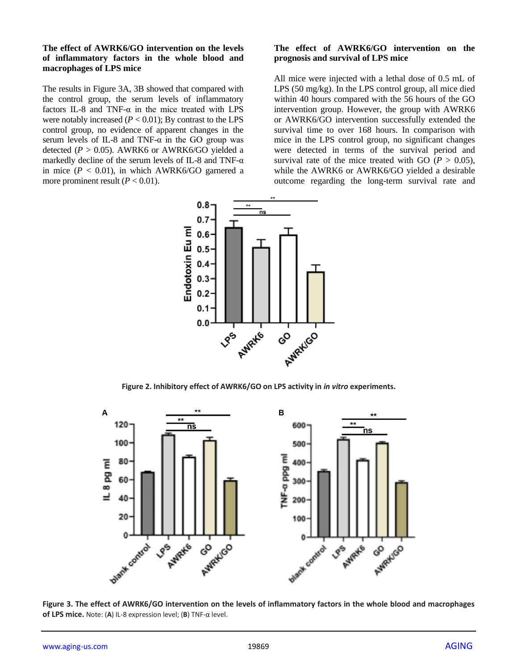#### **The effect of AWRK6/GO intervention on the levels of inflammatory factors in the whole blood and macrophages of LPS mice**

The results in Figure 3A, 3B showed that compared with the control group, the serum levels of inflammatory factors IL-8 and TNF- $\alpha$  in the mice treated with LPS were notably increased  $(P < 0.01)$ ; By contrast to the LPS control group, no evidence of apparent changes in the serum levels of IL-8 and TNF- $\alpha$  in the GO group was detected ( $P > 0.05$ ). AWRK6 or AWRK6/GO yielded a markedly decline of the serum levels of IL-8 and TNF- $\alpha$ in mice  $(P < 0.01)$ , in which AWRK6/GO garnered a more prominent result  $(P < 0.01)$ .

## **The effect of AWRK6/GO intervention on the prognosis and survival of LPS mice**

All mice were injected with a lethal dose of 0.5 mL of LPS (50 mg/kg). In the LPS control group, all mice died within 40 hours compared with the 56 hours of the GO intervention group. However, the group with AWRK6 or AWRK6/GO intervention successfully extended the survival time to over 168 hours. In comparison with mice in the LPS control group, no significant changes were detected in terms of the survival period and survival rate of the mice treated with GO ( $P > 0.05$ ), while the AWRK6 or AWRK6/GO yielded a desirable outcome regarding the long-term survival rate and



**Figure 2. Inhibitory effect of AWRK6/GO on LPS activity in** *in vitro* **experiments.**



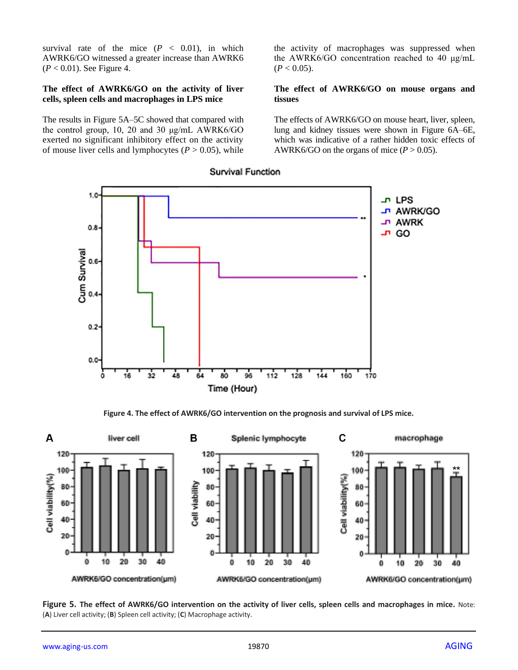survival rate of the mice  $(P < 0.01)$ , in which AWRK6/GO witnessed a greater increase than AWRK6 (*P* < 0.01). See Figure 4.

#### **The effect of AWRK6/GO on the activity of liver cells, spleen cells and macrophages in LPS mice**

The results in Figure 5A–5C showed that compared with the control group, 10, 20 and 30 μg/mL AWRK6/GO exerted no significant inhibitory effect on the activity of mouse liver cells and lymphocytes  $(P > 0.05)$ , while the activity of macrophages was suppressed when the AWRK6/GO concentration reached to 40 μg/mL  $(P < 0.05)$ .

#### **The effect of AWRK6/GO on mouse organs and tissues**

The effects of AWRK6/GO on mouse heart, liver, spleen, lung and kidney tissues were shown in Figure 6A–6E, which was indicative of a rather hidden toxic effects of AWRK6/GO on the organs of mice  $(P > 0.05)$ .



## Survival Function

**Figure 4. The effect of AWRK6/GO intervention on the prognosis and survival of LPS mice.**



**Figure 5. The effect of AWRK6/GO intervention on the activity of liver cells, spleen cells and macrophages in mice.** Note: (**A**) Liver cell activity; (**B**) Spleen cell activity; (**C**) Macrophage activity.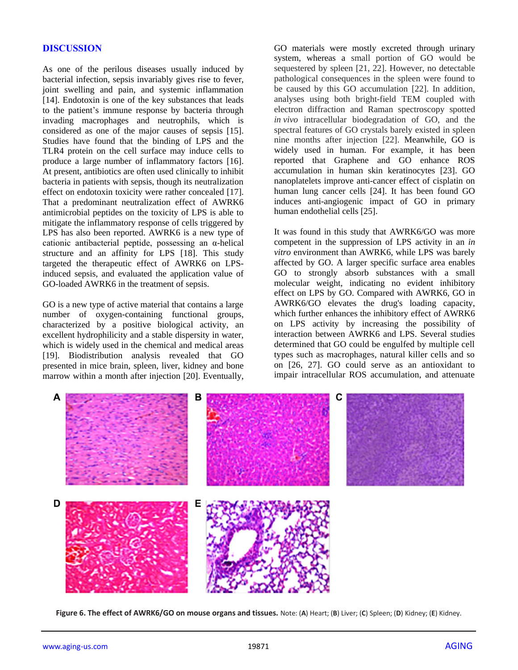## **DISCUSSION**

As one of the perilous diseases usually induced by bacterial infection, sepsis invariably gives rise to fever, joint swelling and pain, and systemic inflammation [14]. Endotoxin is one of the key substances that leads to the patient's immune response by bacteria through invading macrophages and neutrophils, which is considered as one of the major causes of sepsis [15]. Studies have found that the binding of LPS and the TLR4 protein on the cell surface may induce cells to produce a large number of inflammatory factors [16]. At present, antibiotics are often used clinically to inhibit bacteria in patients with sepsis, though its neutralization effect on endotoxin toxicity were rather concealed [17]. That a predominant neutralization effect of AWRK6 antimicrobial peptides on the toxicity of LPS is able to mitigate the inflammatory response of cells triggered by LPS has also been reported. AWRK6 is a new type of cationic antibacterial peptide, possessing an α-helical structure and an affinity for LPS [18]. This study targeted the therapeutic effect of AWRK6 on LPSinduced sepsis, and evaluated the application value of GO-loaded AWRK6 in the treatment of sepsis.

GO is a new type of active material that contains a large number of oxygen-containing functional groups, characterized by a positive biological activity, an excellent hydrophilicity and a stable dispersity in water, which is widely used in the chemical and medical areas [19]. Biodistribution analysis revealed that GO presented in mice brain, spleen, liver, kidney and bone marrow within a month after injection [20]. Eventually, GO materials were mostly excreted through urinary system, whereas a small portion of GO would be sequestered by spleen [21, 22]. However, no detectable pathological consequences in the spleen were found to be caused by this GO accumulation [22]. In addition, analyses using both bright-field TEM coupled with electron diffraction and Raman spectroscopy spotted *in vivo* intracellular biodegradation of GO, and the spectral features of GO crystals barely existed in spleen nine months after injection [22]. Meanwhile, GO is widely used in human. For example, it has been reported that Graphene and GO enhance ROS accumulation in human skin keratinocytes [23]. GO nanoplatelets improve anti-cancer effect of cisplatin on human lung cancer cells [24]. It has been found GO induces anti-angiogenic impact of GO in primary human endothelial cells [25].

It was found in this study that AWRK6/GO was more competent in the suppression of LPS activity in an *in vitro* environment than AWRK6, while LPS was barely affected by GO. A larger specific surface area enables GO to strongly absorb substances with a small molecular weight, indicating no evident inhibitory effect on LPS by GO. Compared with AWRK6, GO in AWRK6/GO elevates the drug's loading capacity, which further enhances the inhibitory effect of AWRK6 on LPS activity by increasing the possibility of interaction between AWRK6 and LPS. Several studies determined that GO could be engulfed by multiple cell types such as macrophages, natural killer cells and so on [26, 27]. GO could serve as an antioxidant to impair intracellular ROS accumulation, and attenuate



**Figure 6. The effect of AWRK6/GO on mouse organs and tissues.** Note: (**A**) Heart; (**B**) Liver; (**C**) Spleen; (**D**) Kidney; (**E**) Kidney.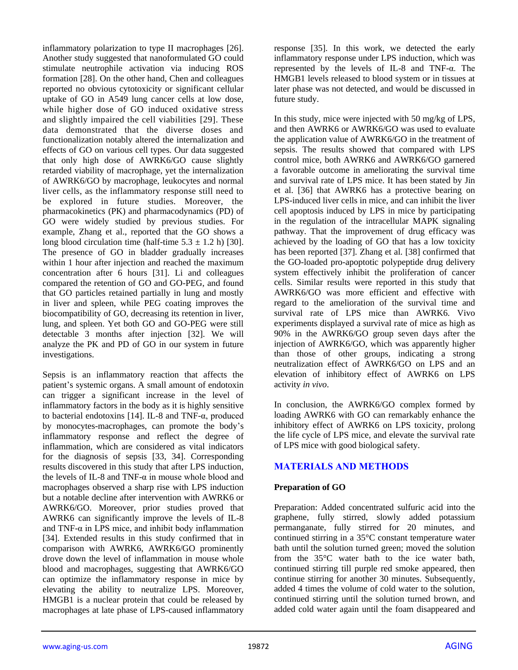inflammatory polarization to type II macrophages [26]. Another study suggested that nanoformulated GO could stimulate neutrophile activation via inducing ROS formation [28]. On the other hand, Chen and colleagues reported no obvious cytotoxicity or significant cellular uptake of GO in A549 lung cancer cells at low dose, while higher dose of GO induced oxidative stress and slightly impaired the cell viabilities [29]. These data demonstrated that the diverse doses and functionalization notably altered the internalization and effects of GO on various cell types. Our data suggested that only high dose of AWRK6/GO cause slightly retarded viability of macrophage, yet the internalization of AWRK6/GO by macrophage, leukocytes and normal liver cells, as the inflammatory response still need to be explored in future studies. Moreover, the pharmacokinetics (PK) and pharmacodynamics (PD) of GO were widely studied by previous studies. For example, Zhang et al., reported that the GO shows a long blood circulation time (half-time  $5.3 \pm 1.2$  h) [30]. The presence of GO in bladder gradually increases within 1 hour after injection and reached the maximum concentration after 6 hours [31]. Li and colleagues compared the retention of GO and GO-PEG, and found that GO particles retained partially in lung and mostly in liver and spleen, while PEG coating improves the biocompatibility of GO, decreasing its retention in liver, lung, and spleen. Yet both GO and GO-PEG were still detectable 3 months after injection [32]. We will analyze the PK and PD of GO in our system in future investigations.

Sepsis is an inflammatory reaction that affects the patient's systemic organs. A small amount of endotoxin can trigger a significant increase in the level of inflammatory factors in the body as it is highly sensitive to bacterial endotoxins [14]. IL-8 and TNF-α, produced by monocytes-macrophages, can promote the body's inflammatory response and reflect the degree of inflammation, which are considered as vital indicators for the diagnosis of sepsis [33, 34]. Corresponding results discovered in this study that after LPS induction, the levels of IL-8 and TNF-α in mouse whole blood and macrophages observed a sharp rise with LPS induction but a notable decline after intervention with AWRK6 or AWRK6/GO. Moreover, prior studies proved that AWRK6 can significantly improve the levels of IL-8 and TNF- $\alpha$  in LPS mice, and inhibit body inflammation [34]. Extended results in this study confirmed that in comparison with AWRK6, AWRK6/GO prominently drove down the level of inflammation in mouse whole blood and macrophages, suggesting that AWRK6/GO can optimize the inflammatory response in mice by elevating the ability to neutralize LPS. Moreover, HMGB1 is a nuclear protein that could be released by macrophages at late phase of LPS-caused inflammatory

response [35]. In this work, we detected the early inflammatory response under LPS induction, which was represented by the levels of IL-8 and TNF-α. The HMGB1 levels released to blood system or in tissues at later phase was not detected, and would be discussed in future study.

In this study, mice were injected with 50 mg/kg of LPS, and then AWRK6 or AWRK6/GO was used to evaluate the application value of AWRK6/GO in the treatment of sepsis. The results showed that compared with LPS control mice, both AWRK6 and AWRK6/GO garnered a favorable outcome in ameliorating the survival time and survival rate of LPS mice. It has been stated by Jin et al. [36] that AWRK6 has a protective bearing on LPS-induced liver cells in mice, and can inhibit the liver cell apoptosis induced by LPS in mice by participating in the regulation of the intracellular MAPK signaling pathway. That the improvement of drug efficacy was achieved by the loading of GO that has a low toxicity has been reported [37]. Zhang et al. [38] confirmed that the GO-loaded pro-apoptotic polypeptide drug delivery system effectively inhibit the proliferation of cancer cells. Similar results were reported in this study that AWRK6/GO was more efficient and effective with regard to the amelioration of the survival time and survival rate of LPS mice than AWRK6. Vivo experiments displayed a survival rate of mice as high as 90% in the AWRK6/GO group seven days after the injection of AWRK6/GO, which was apparently higher than those of other groups, indicating a strong neutralization effect of AWRK6/GO on LPS and an elevation of inhibitory effect of AWRK6 on LPS activity *in vivo*.

In conclusion, the AWRK6/GO complex formed by loading AWRK6 with GO can remarkably enhance the inhibitory effect of AWRK6 on LPS toxicity, prolong the life cycle of LPS mice, and elevate the survival rate of LPS mice with good biological safety.

# **MATERIALS AND METHODS**

# **Preparation of GO**

Preparation: Added concentrated sulfuric acid into the graphene, fully stirred, slowly added potassium permanganate, fully stirred for 20 minutes, and continued stirring in a 35°C constant temperature water bath until the solution turned green; moved the solution from the 35°C water bath to the ice water bath, continued stirring till purple red smoke appeared, then continue stirring for another 30 minutes. Subsequently, added 4 times the volume of cold water to the solution, continued stirring until the solution turned brown, and added cold water again until the foam disappeared and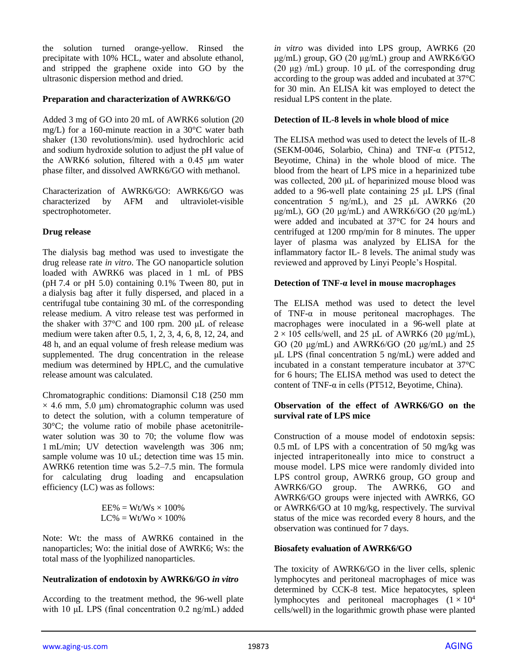the solution turned orange-yellow. Rinsed the precipitate with 10% HCL, water and absolute ethanol, and stripped the graphene oxide into GO by the ultrasonic dispersion method and dried.

## **Preparation and characterization of AWRK6/GO**

Added 3 mg of GO into 20 mL of AWRK6 solution (20 mg/L) for a 160-minute reaction in a 30°C water bath shaker (130 revolutions/min). used hydrochloric acid and sodium hydroxide solution to adjust the pH value of the AWRK6 solution, filtered with a 0.45 μm water phase filter, and dissolved AWRK6/GO with methanol.

Characterization of AWRK6/GO: AWRK6/GO was characterized by AFM and ultraviolet-visible spectrophotometer.

# **Drug release**

The dialysis bag method was used to investigate the drug release rate *in vitro*. The GO nanoparticle solution loaded with AWRK6 was placed in 1 mL of PBS (pH 7.4 or pH 5.0) containing 0.1% Tween 80, put in a dialysis bag after it fully dispersed, and placed in a centrifugal tube containing 30 mL of the corresponding release medium. A vitro release test was performed in the shaker with 37°C and 100 rpm. 200 μL of release medium were taken after 0.5, 1, 2, 3, 4, 6, 8, 12, 24, and 48 h, and an equal volume of fresh release medium was supplemented. The drug concentration in the release medium was determined by HPLC, and the cumulative release amount was calculated.

Chromatographic conditions: Diamonsil C18 (250 mm  $\times$  4.6 mm, 5.0 µm) chromatographic column was used to detect the solution, with a column temperature of 30°C; the volume ratio of mobile phase acetonitrilewater solution was 30 to 70; the volume flow was 1 mL/min; UV detection wavelength was 306 nm; sample volume was 10 uL; detection time was 15 min. AWRK6 retention time was 5.2–7.5 min. The formula for calculating drug loading and encapsulation efficiency (LC) was as follows:

$$
EE\% = Wt/Ws \times 100\%
$$
  
LC\% = Wt/Wo \times 100\%

Note: Wt: the mass of AWRK6 contained in the nanoparticles; Wo: the initial dose of AWRK6; Ws: the total mass of the lyophilized nanoparticles.

## **Neutralization of endotoxin by AWRK6/GO** *in vitro*

According to the treatment method, the 96-well plate with 10 μL LPS (final concentration 0.2 ng/mL) added *in vitro* was divided into LPS group, AWRK6 (20 μg/mL) group, GO (20 μg/mL) group and  $AWRK6/GO$ (20 μg) /mL) group. 10 μL of the corresponding drug according to the group was added and incubated at 37°C for 30 min. An ELISA kit was employed to detect the residual LPS content in the plate.

## **Detection of IL-8 levels in whole blood of mice**

The ELISA method was used to detect the levels of IL-8 (SEKM-0046, Solarbio, China) and TNF-α (PT512, Beyotime, China) in the whole blood of mice. The blood from the heart of LPS mice in a heparinized tube was collected, 200 μL of heparinized mouse blood was added to a 96-well plate containing 25 μL LPS (final concentration 5 ng/mL), and 25 μL AWRK6 (20 μg/mL), GO (20 μg/mL) and AWRK6/GO (20 μg/mL) were added and incubated at 37°C for 24 hours and centrifuged at 1200 rmp/min for 8 minutes. The upper layer of plasma was analyzed by ELISA for the inflammatory factor IL- 8 levels. The animal study was reviewed and approved by Linyi People's Hospital.

## **Detection of TNF-α level in mouse macrophages**

The ELISA method was used to detect the level of TNF-α in mouse peritoneal macrophages. The macrophages were inoculated in a 96-well plate at  $2 \times 105$  cells/well, and 25 μL of AWRK6 (20 μg/mL), GO (20 μg/mL) and AWRK6/GO (20 μg/mL) and 25 μL LPS (final concentration 5 ng/mL) were added and incubated in a constant temperature incubator at 37°C for 6 hours; The ELISA method was used to detect the content of TNF-α in cells (PT512, Beyotime, China).

#### **Observation of the effect of AWRK6/GO on the survival rate of LPS mice**

Construction of a mouse model of endotoxin sepsis: 0.5 mL of LPS with a concentration of 50 mg/kg was injected intraperitoneally into mice to construct a mouse model. LPS mice were randomly divided into LPS control group, AWRK6 group, GO group and AWRK6/GO group. The AWRK6, GO and AWRK6/GO groups were injected with AWRK6, GO or AWRK6/GO at 10 mg/kg, respectively. The survival status of the mice was recorded every 8 hours, and the observation was continued for 7 days.

## **Biosafety evaluation of AWRK6/GO**

The toxicity of AWRK6/GO in the liver cells, splenic lymphocytes and peritoneal macrophages of mice was determined by CCK-8 test. Mice hepatocytes, spleen lymphocytes and peritoneal macrophages  $(1 \times 10^4)$ cells/well) in the logarithmic growth phase were planted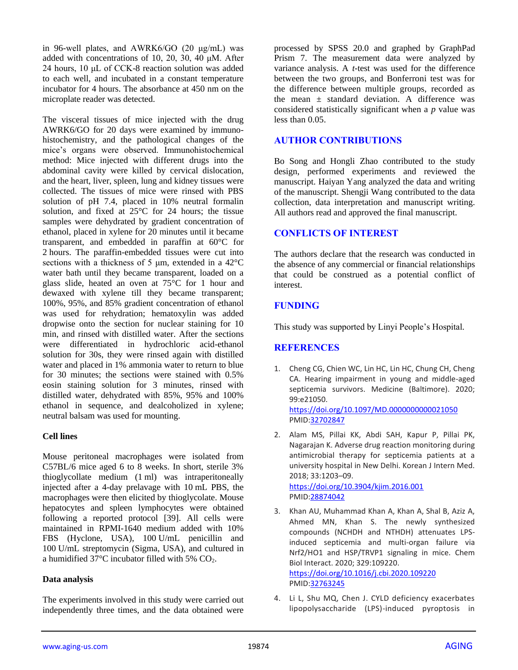in 96-well plates, and AWRK6/GO (20 μg/mL) was added with concentrations of 10, 20, 30, 40 μM. After 24 hours, 10 μL of CCK-8 reaction solution was added to each well, and incubated in a constant temperature incubator for 4 hours. The absorbance at 450 nm on the microplate reader was detected.

The visceral tissues of mice injected with the drug AWRK6/GO for 20 days were examined by immunohistochemistry, and the pathological changes of the mice's organs were observed. Immunohistochemical method: Mice injected with different drugs into the abdominal cavity were killed by cervical dislocation, and the heart, liver, spleen, lung and kidney tissues were collected. The tissues of mice were rinsed with PBS solution of pH 7.4, placed in 10% neutral formalin solution, and fixed at 25°C for 24 hours; the tissue samples were dehydrated by gradient concentration of ethanol, placed in xylene for 20 minutes until it became transparent, and embedded in paraffin at 60°C for 2 hours. The paraffin-embedded tissues were cut into sections with a thickness of 5 μm, extended in a 42°C water bath until they became transparent, loaded on a glass slide, heated an oven at 75°C for 1 hour and dewaxed with xylene till they became transparent; 100%, 95%, and 85% gradient concentration of ethanol was used for rehydration; hematoxylin was added dropwise onto the section for nuclear staining for 10 min, and rinsed with distilled water. After the sections were differentiated in hydrochloric acid-ethanol solution for 30s, they were rinsed again with distilled water and placed in 1% ammonia water to return to blue for 30 minutes; the sections were stained with 0.5% eosin staining solution for 3 minutes, rinsed with distilled water, dehydrated with 85%, 95% and 100% ethanol in sequence, and dealcoholized in xylene; neutral balsam was used for mounting.

## **Cell lines**

Mouse peritoneal macrophages were isolated from C57BL/6 mice aged 6 to 8 weeks. In short, sterile 3% thioglycollate medium (1 ml) was intraperitoneally injected after a 4-day prelavage with 10 mL PBS, the macrophages were then elicited by thioglycolate. Mouse hepatocytes and spleen lymphocytes were obtained following a reported protocol [39]. All cells were maintained in RPMI-1640 medium added with 10% FBS (Hyclone, USA), 100 U/mL penicillin and 100 U/mL streptomycin (Sigma, USA), and cultured in a humidified  $37^{\circ}$ C incubator filled with 5% CO<sub>2</sub>.

## **Data analysis**

The experiments involved in this study were carried out independently three times, and the data obtained were

processed by SPSS 20.0 and graphed by GraphPad Prism 7. The measurement data were analyzed by variance analysis. A *t*-test was used for the difference between the two groups, and Bonferroni test was for the difference between multiple groups, recorded as the mean  $\pm$  standard deviation. A difference was considered statistically significant when a *p* value was less than 0.05.

# **AUTHOR CONTRIBUTIONS**

Bo Song and Hongli Zhao contributed to the study design, performed experiments and reviewed the manuscript. Haiyan Yang analyzed the data and writing of the manuscript. Shengji Wang contributed to the data collection, data interpretation and manuscript writing. All authors read and approved the final manuscript.

# **CONFLICTS OF INTEREST**

The authors declare that the research was conducted in the absence of any commercial or financial relationships that could be construed as a potential conflict of interest.

## **FUNDING**

This study was supported by Linyi People's Hospital.

## **REFERENCES**

1. Cheng CG, Chien WC, Lin HC, Lin HC, Chung CH, Cheng CA. Hearing impairment in young and middle-aged septicemia survivors. Medicine (Baltimore). 2020; 99:e21050. <https://doi.org/10.1097/MD.0000000000021050>

PMID[:32702847](https://pubmed.ncbi.nlm.nih.gov/32702847)

- 2. Alam MS, Pillai KK, Abdi SAH, Kapur P, Pillai PK, Nagarajan K. Adverse drug reaction monitoring during antimicrobial therapy for septicemia patients at a university hospital in New Delhi. Korean J Intern Med. 2018; 33:1203–09. <https://doi.org/10.3904/kjim.2016.001> PMID[:28874042](https://pubmed.ncbi.nlm.nih.gov/28874042)
- 3. Khan AU, Muhammad Khan A, Khan A, Shal B, Aziz A, Ahmed MN, Khan S. The newly synthesized compounds (NCHDH and NTHDH) attenuates LPSinduced septicemia and multi-organ failure via Nrf2/HO1 and HSP/TRVP1 signaling in mice. Chem Biol Interact. 2020; 329:109220. <https://doi.org/10.1016/j.cbi.2020.109220> PMID[:32763245](https://pubmed.ncbi.nlm.nih.gov/32763245)
- 4. Li L, Shu MQ, Chen J. CYLD deficiency exacerbates lipopolysaccharide (LPS)-induced pyroptosis in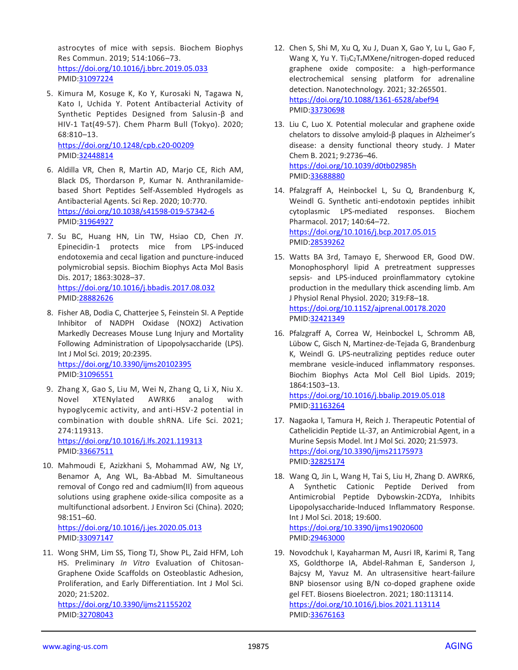astrocytes of mice with sepsis. Biochem Biophys Res Commun. 2019; 514:1066–73. <https://doi.org/10.1016/j.bbrc.2019.05.033> PMID[:31097224](https://pubmed.ncbi.nlm.nih.gov/31097224)

- 5. Kimura M, Kosuge K, Ko Y, Kurosaki N, Tagawa N, Kato I, Uchida Y. Potent Antibacterial Activity of Synthetic Peptides Designed from Salusin-β and HIV-1 Tat(49-57). Chem Pharm Bull (Tokyo). 2020; 68:810–13. <https://doi.org/10.1248/cpb.c20-00209> PMID[:32448814](https://pubmed.ncbi.nlm.nih.gov/32448814)
- 6. Aldilla VR, Chen R, Martin AD, Marjo CE, Rich AM, Black DS, Thordarson P, Kumar N. Anthranilamidebased Short Peptides Self-Assembled Hydrogels as Antibacterial Agents. Sci Rep. 2020; 10:770. <https://doi.org/10.1038/s41598-019-57342-6> PMID[:31964927](https://pubmed.ncbi.nlm.nih.gov/31964927)
- 7. Su BC, Huang HN, Lin TW, Hsiao CD, Chen JY. Epinecidin-1 protects mice from LPS-induced endotoxemia and cecal ligation and puncture-induced polymicrobial sepsis. Biochim Biophys Acta Mol Basis Dis. 2017; 1863:3028–37. <https://doi.org/10.1016/j.bbadis.2017.08.032> PMID[:28882626](https://pubmed.ncbi.nlm.nih.gov/28882626)
- 8. Fisher AB, Dodia C, Chatterjee S, Feinstein SI. A Peptide Inhibitor of NADPH Oxidase (NOX2) Activation Markedly Decreases Mouse Lung Injury and Mortality Following Administration of Lipopolysaccharide (LPS). Int J Mol Sci. 2019; 20:2395. <https://doi.org/10.3390/ijms20102395> PMID[:31096551](https://pubmed.ncbi.nlm.nih.gov/31096551)
- 9. Zhang X, Gao S, Liu M, Wei N, Zhang Q, Li X, Niu X. Novel XTENylated AWRK6 analog with hypoglycemic activity, and anti-HSV-2 potential in combination with double shRNA. Life Sci. 2021; 274:119313.

<https://doi.org/10.1016/j.lfs.2021.119313> PMID[:33667511](https://pubmed.ncbi.nlm.nih.gov/33667511)

10. Mahmoudi E, Azizkhani S, Mohammad AW, Ng LY, Benamor A, Ang WL, Ba-Abbad M. Simultaneous removal of Congo red and cadmium(II) from aqueous solutions using graphene oxide-silica composite as a multifunctional adsorbent. J Environ Sci (China). 2020; 98:151–60.

<https://doi.org/10.1016/j.jes.2020.05.013> PMID[:33097147](https://pubmed.ncbi.nlm.nih.gov/33097147)

11. Wong SHM, Lim SS, Tiong TJ, Show PL, Zaid HFM, Loh HS. Preliminary *In Vitro* Evaluation of Chitosan-Graphene Oxide Scaffolds on Osteoblastic Adhesion, Proliferation, and Early Differentiation. Int J Mol Sci. 2020; 21:5202. <https://doi.org/10.3390/ijms21155202>

PMID[:32708043](https://pubmed.ncbi.nlm.nih.gov/32708043)

- 12. Chen S, Shi M, Xu Q, Xu J, Duan X, Gao Y, Lu L, Gao F, Wang X, Yu Y. Ti<sub>3</sub>C<sub>2</sub>T<sub>x</sub>MXene/nitrogen-doped reduced graphene oxide composite: a high-performance electrochemical sensing platform for adrenaline detection. Nanotechnology. 2021; 32:265501. <https://doi.org/10.1088/1361-6528/abef94> PMID[:33730698](https://pubmed.ncbi.nlm.nih.gov/33730698)
- 13. Liu C, Luo X. Potential molecular and graphene oxide chelators to dissolve amyloid-β plaques in Alzheimer's disease: a density functional theory study. J Mater Chem B. 2021; 9:2736–46. <https://doi.org/10.1039/d0tb02985h> PMID[:33688880](https://pubmed.ncbi.nlm.nih.gov/33688880)
- 14. Pfalzgraff A, Heinbockel L, Su Q, Brandenburg K, Weindl G. Synthetic anti-endotoxin peptides inhibit cytoplasmic LPS-mediated responses. Biochem Pharmacol. 2017; 140:64–72. <https://doi.org/10.1016/j.bcp.2017.05.015> PMID[:28539262](https://pubmed.ncbi.nlm.nih.gov/28539262)
- 15. Watts BA 3rd, Tamayo E, Sherwood ER, Good DW. Monophosphoryl lipid A pretreatment suppresses sepsis- and LPS-induced proinflammatory cytokine production in the medullary thick ascending limb. Am J Physiol Renal Physiol. 2020; 319:F8–18. <https://doi.org/10.1152/ajprenal.00178.2020> PMID[:32421349](https://pubmed.ncbi.nlm.nih.gov/32421349)
- 16. Pfalzgraff A, Correa W, Heinbockel L, Schromm AB, Lübow C, Gisch N, Martinez-de-Tejada G, Brandenburg K, Weindl G. LPS-neutralizing peptides reduce outer membrane vesicle-induced inflammatory responses. Biochim Biophys Acta Mol Cell Biol Lipids. 2019; 1864:1503–13.

<https://doi.org/10.1016/j.bbalip.2019.05.018> PMID[:31163264](https://pubmed.ncbi.nlm.nih.gov/31163264)

- 17. Nagaoka I, Tamura H, Reich J. Therapeutic Potential of Cathelicidin Peptide LL-37, an Antimicrobial Agent, in a Murine Sepsis Model. Int J Mol Sci. 2020; 21:5973. <https://doi.org/10.3390/ijms21175973> PMID[:32825174](https://pubmed.ncbi.nlm.nih.gov/32825174)
- 18. Wang Q, Jin L, Wang H, Tai S, Liu H, Zhang D. AWRK6, A Synthetic Cationic Peptide Derived from Antimicrobial Peptide Dybowskin-2CDYa, Inhibits Lipopolysaccharide-Induced Inflammatory Response. Int J Mol Sci. 2018; 19:600. <https://doi.org/10.3390/ijms19020600> PMID[:29463000](https://pubmed.ncbi.nlm.nih.gov/29463000)
- 19. Novodchuk I, Kayaharman M, Ausri IR, Karimi R, Tang XS, Goldthorpe IA, Abdel-Rahman E, Sanderson J, Bajcsy M, Yavuz M. An ultrasensitive heart-failure BNP biosensor using B/N co-doped graphene oxide gel FET. Biosens Bioelectron. 2021; 180:113114. <https://doi.org/10.1016/j.bios.2021.113114> PMID[:33676163](https://pubmed.ncbi.nlm.nih.gov/33676163)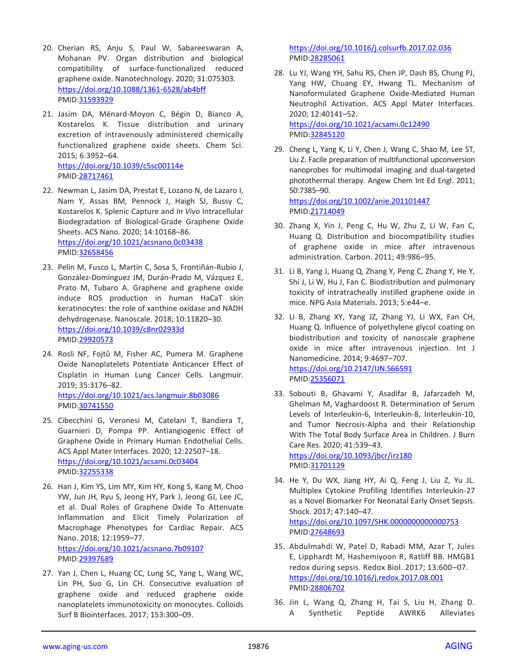- 20. Cherian RS, Anju S, Paul W, Sabareeswaran A, Mohanan PV. Organ distribution and biological compatibility of surface-functionalized reduced graphene oxide. Nanotechnology. 2020; 31:075303. <https://doi.org/10.1088/1361-6528/ab4bff> PMID[:31593929](https://pubmed.ncbi.nlm.nih.gov/31593929)
- 21. Jasim DA, Ménard-Moyon C, Bégin D, Bianco A, Kostarelos K. Tissue distribution and urinary excretion of intravenously administered chemically functionalized graphene oxide sheets. Chem Sci. 2015; 6:3952–64. <https://doi.org/10.1039/c5sc00114e> PMID[:28717461](https://pubmed.ncbi.nlm.nih.gov/28717461)
- 22. Newman L, Jasim DA, Prestat E, Lozano N, de Lazaro I, Nam Y, Assas BM, Pennock J, Haigh SJ, Bussy C, Kostarelos K. Splenic Capture and *In Vivo* Intracellular Biodegradation of Biological-Grade Graphene Oxide Sheets. ACS Nano. 2020; 14:10168–86. <https://doi.org/10.1021/acsnano.0c03438> PMID[:32658456](https://pubmed.ncbi.nlm.nih.gov/32658456)
- 23. Pelin M, Fusco L, Martín C, Sosa S, Frontiñán-Rubio J, González-Domínguez JM, Durán-Prado M, Vázquez E, Prato M, Tubaro A. Graphene and graphene oxide induce ROS production in human HaCaT skin keratinocytes: the role of xanthine oxidase and NADH dehydrogenase. Nanoscale. 2018; 10:11820–30. <https://doi.org/10.1039/c8nr02933d> PMID[:29920573](https://pubmed.ncbi.nlm.nih.gov/29920573)
- 24. Rosli NF, Fojtů M, Fisher AC, Pumera M. Graphene Oxide Nanoplatelets Potentiate Anticancer Effect of Cisplatin in Human Lung Cancer Cells. Langmuir. 2019; 35:3176–82. <https://doi.org/10.1021/acs.langmuir.8b03086> PMID[:30741550](https://pubmed.ncbi.nlm.nih.gov/30741550)
- 25. Cibecchini G, Veronesi M, Catelani T, Bandiera T, Guarnieri D, Pompa PP. Antiangiogenic Effect of Graphene Oxide in Primary Human Endothelial Cells. ACS Appl Mater Interfaces. 2020; 12:22507–18. <https://doi.org/10.1021/acsami.0c03404> PMID[:32255338](https://pubmed.ncbi.nlm.nih.gov/32255338)
- 26. Han J, Kim YS, Lim MY, Kim HY, Kong S, Kang M, Choo YW, Jun JH, Ryu S, Jeong HY, Park J, Jeong GJ, Lee JC, et al. Dual Roles of Graphene Oxide To Attenuate Inflammation and Elicit Timely Polarization of Macrophage Phenotypes for Cardiac Repair. ACS Nano. 2018; 12:1959–77. <https://doi.org/10.1021/acsnano.7b09107> PMID[:29397689](https://pubmed.ncbi.nlm.nih.gov/29397689)
- 27. Yan J, Chen L, Huang CC, Lung SC, Yang L, Wang WC, Lin PH, Suo G, Lin CH. Consecutive evaluation of graphene oxide and reduced graphene oxide nanoplatelets immunotoxicity on monocytes. Colloids Surf B Biointerfaces. 2017; 153:300–09.

<https://doi.org/10.1016/j.colsurfb.2017.02.036> PMID[:28285061](https://pubmed.ncbi.nlm.nih.gov/28285061)

- 28. Lu YJ, Wang YH, Sahu RS, Chen JP, Dash BS, Chung PJ, Yang HW, Chuang EY, Hwang TL. Mechanism of Nanoformulated Graphene Oxide-Mediated Human Neutrophil Activation. ACS Appl Mater Interfaces. 2020; 12:40141–52. <https://doi.org/10.1021/acsami.0c12490> PMID[:32845120](https://pubmed.ncbi.nlm.nih.gov/32845120)
- 29. Cheng L, Yang K, Li Y, Chen J, Wang C, Shao M, Lee ST, Liu Z. Facile preparation of multifunctional upconversion nanoprobes for multimodal imaging and dual-targeted photothermal therapy. Angew Chem Int Ed Engl. 2011; 50:7385–90. <https://doi.org/10.1002/anie.201101447>

PMID[:21714049](https://pubmed.ncbi.nlm.nih.gov/21714049)

- 30. Zhang X, Yin J, Peng C, Hu W, Zhu Z, Li W, Fan C, Huang Q. Distribution and biocompatibility studies of graphene oxide in mice after intravenous administration. Carbon. 2011; 49:986–95.
- 31. Li B, Yang J, Huang Q, Zhang Y, Peng C, Zhang Y, He Y, Shi J, Li W, Hu J, Fan C. Biodistribution and pulmonary toxicity of intratracheally instilled graphene oxide in mice. NPG Asia Materials. 2013; 5:e44–e.
- 32. Li B, Zhang XY, Yang JZ, Zhang YJ, Li WX, Fan CH, Huang Q. Influence of polyethylene glycol coating on biodistribution and toxicity of nanoscale graphene oxide in mice after intravenous injection. Int J Nanomedicine. 2014; 9:4697–707. <https://doi.org/10.2147/IJN.S66591> PMID[:25356071](https://pubmed.ncbi.nlm.nih.gov/25356071)
- 33. Sobouti B, Ghavami Y, Asadifar B, Jafarzadeh M, Ghelman M, Vaghardoost R. Determination of Serum Levels of Interleukin-6, Interleukin-8, Interleukin-10, and Tumor Necrosis-Alpha and their Relationship With The Total Body Surface Area in Children. J Burn Care Res. 2020; 41:539–43. <https://doi.org/10.1093/jbcr/irz180>
	- PMID[:31701129](https://pubmed.ncbi.nlm.nih.gov/31701129)
- 34. He Y, Du WX, Jiang HY, Ai Q, Feng J, Liu Z, Yu JL. Multiplex Cytokine Profiling Identifies Interleukin-27 as a Novel Biomarker For Neonatal Early Onset Sepsis. Shock. 2017; 47:140–47. <https://doi.org/10.1097/SHK.0000000000000753>

PMID[:27648693](https://pubmed.ncbi.nlm.nih.gov/27648693)

- 35. Abdulmahdi W, Patel D, Rabadi MM, Azar T, Jules E, Lipphardt M, Hashemiyoon R, Ratliff BB. HMGB1 redox during sepsis. Redox Biol. 2017; 13:600–07. <https://doi.org/10.1016/j.redox.2017.08.001> PMID[:28806702](https://pubmed.ncbi.nlm.nih.gov/28806702)
- 36. Jin L, Wang Q, Zhang H, Tai S, Liu H, Zhang D. A Synthetic Peptide AWRK6 Alleviates